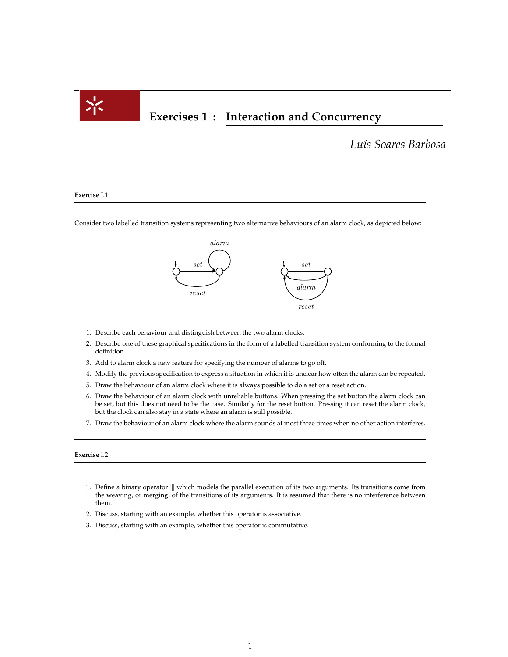

# **Exercises 1 : Interaction and Concurrency**

*Lu´ıs Soares Barbosa*

#### **Exercise** I.1  $S_{\text{L}}$

Consider two labelled transition systems representing two alternative behaviours of an alarm clock, as depicted below: ider two labelled transition systems representing two alternative behaviours of an alarm clock, as depi

a b c de la construction de la construction de la construction de la construction de la construction de la con

 $\mathcal{L}^{\text{max}}$  . Two simple linear behaviours of which the lower one can terminate  $\mathcal{L}^{\text{max}}$ 



- 1. Describe each behaviour and distinguish between the two alarm clocks.
- 2. Describe one of these graphical specifications in the form of a labelled transition system conforming to the formal definition. This is action set, with a natural number as definition set, with a natural number as definition. definition.
- $\Lambda$  dd to alarm clock a now feature for epocifying the pumber of alarms to go off 3. Add to alarm clock a new feature for specifying the number of alarms to go off.
- 4. Modify the previous specification to express a situation in which it is unclear how often the alarm can be repeated.
- 5. Draw the behaviour of an alarm clock where it is always possible to do a set or a reset action.
- be set, but this does not need to be the case. Similarly for the reset button. Pressing it can reset the alarm clock, 6. Draw the behaviour of an alarm clock with unreliable buttons. When pressing the set button the alarm clock can but the clock can also stay in a state where an alarm is still possible.
- 7. Draw the behaviour of an alarm clock where the alarm sounds at most three times when no other action interferes.

## **Exercise** I.2

- 1. Define a binary operator  $\parallel \parallel$  which models the parallel execution of its two arguments. Its transitions come from the weaving or paraing of the transitions of its arguments. It is assumed that there is no interferenc the weaving, or merging, of the transitions of its arguments. It is assumed that there is no interference between them.
- 2. Discuss, starting with an example, whether this operator is associative.
- 3. Discuss, starting with an example, whether this operator is commutative.